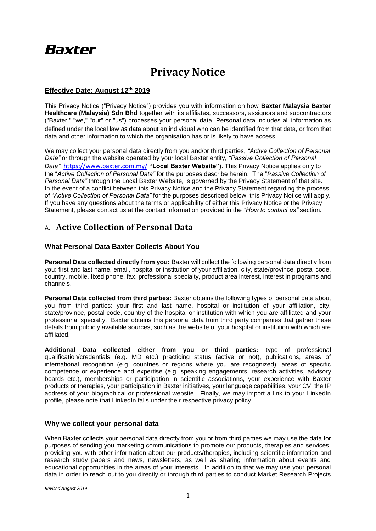# **Baxter**

## **Privacy Notice**

### **Effective Date: August 12th 2019**

This Privacy Notice ("Privacy Notice") provides you with information on how **Baxter Malaysia Baxter Healthcare (Malaysia) Sdn Bhd** together with its affiliates, successors, assignors and subcontractors ("Baxter," "we," "our" or "us") processes your personal data. Personal data includes all information as defined under the local law as data about an individual who can be identified from that data, or from that data and other information to which the organisation has or is likely to have access.

We may collect your personal data directly from you and/or third parties, *"Active Collection of Personal Data"* or through the website operated by your local Baxter entity, *"Passive Collection of Personal Data"*, <https://www.baxter.com.my/> **"Local Baxter Website")**. This Privacy Notice applies only to the "*Active Collection of Personal Data"* for the purposes describe herein. The "*Passive Collection of Personal Data"* through the Local Baxter Website*,* is governed by the Privacy Statement of that site. In the event of a conflict between this Privacy Notice and the Privacy Statement regarding the process of "*Active Collection of Personal Data"* for the purposes described below, this Privacy Notice will apply. If you have any questions about the terms or applicability of either this Privacy Notice or the Privacy Statement, please contact us at the contact information provided in the *"How to contact us"* section.

### A. **Active Collection of Personal Data**

### **What Personal Data Baxter Collects About You**

**Personal Data collected directly from you:** Baxter will collect the following personal data directly from you: first and last name, email, hospital or institution of your affiliation, city, state/province, postal code, country, mobile, fixed phone, fax, professional specialty, product area interest, interest in programs and channels.

**Personal Data collected from third parties:** Baxter obtains the following types of personal data about you from third parties: your first and last name, hospital or institution of your affiliation, city, state/province, postal code, country of the hospital or institution with which you are affiliated and your professional specialty. Baxter obtains this personal data from third party companies that gather these details from publicly available sources, such as the website of your hospital or institution with which are affiliated.

**Additional Data collected either from you or third parties:** type of professional qualification/credentials (e.g. MD etc.) practicing status (active or not), publications, areas of international recognition (e.g. countries or regions where you are recognized), areas of specific competence or experience and expertise (e.g. speaking engagements, research activities, advisory boards etc.), memberships or participation in scientific associations, your experience with Baxter products or therapies, your participation in Baxter initiatives, your language capabilities, your CV, the IP address of your biographical or professional website. Finally, we may import a link to your LinkedIn profile, please note that LinkedIn falls under their respective privacy policy.

### **Why we collect your personal data**

When Baxter collects your personal data directly from you or from third parties we may use the data for purposes of sending you marketing communications to promote our products, therapies and services, providing you with other information about our products/therapies, including scientific information and research study papers and news, newsletters, as well as sharing information about events and educational opportunities in the areas of your interests. In addition to that we may use your personal data in order to reach out to you directly or through third parties to conduct Market Research Projects

*Revised August 2019*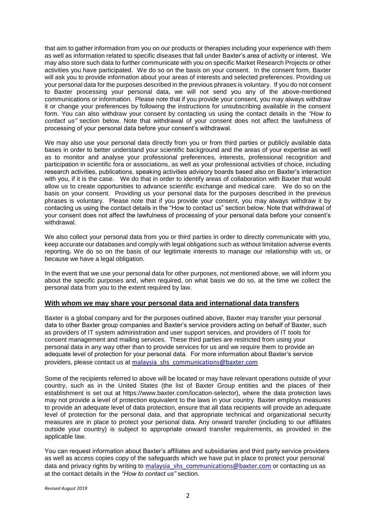that aim to gather information from you on our products or therapies including your experience with them as well as information related to specific diseases that fall under Baxter's area of activity or interest. We may also store such data to further communicate with you on specific Market Research Projects or other activities you have participated. We do so on the basis on your consent. In the consent form, Baxter will ask you to provide information about your areas of interests and selected preferences. Providing us your personal data for the purposes described in the previous phrases is voluntary. If you do not consent to Baxter processing your personal data, we will not send you any of the above-mentioned communications or information. Please note that if you provide your consent, you may always withdraw it or change your preferences by following the instructions for unsubscribing available in the consent form. You can also withdraw your consent by contacting us using the contact details in the *"How to contact us"* section below. Note that withdrawal of your consent does not affect the lawfulness of processing of your personal data before your consent's withdrawal.

We may also use your personal data directly from you or from third parties or publicly available data bases in order to better understand your scientific background and the areas of your expertise as well as to monitor and analyse your professional preferences, interests, professional recognition and participation in scientific fora or associations, as well as your professional activities of choice, including research activities, publications, speaking activities advisory boards based also on Baxter's interaction with you, if it is the case. We do that in order to identify areas of collaboration with Baxter that would allow us to create opportunities to advance scientific exchange and medical care. We do so on the basis on your consent. Providing us your personal data for the purposes described in the previous phrases is voluntary. Please note that if you provide your consent, you may always withdraw it by contacting us using the contact details in the "How to contact us" section below. Note that withdrawal of your consent does not affect the lawfulness of processing of your personal data before your consent's withdrawal.

We also collect your personal data from you or third parties in order to directly communicate with you, keep accurate our databases and comply with legal obligations such as without limitation adverse events reporting**.** We do so on the basis of our legitimate interests to manage our relationship with us, or because we have a legal obligation.

In the event that we use your personal data for other purposes, not mentioned above, we will inform you about the specific purposes and, when required, on what basis we do so, at the time we collect the personal data from you to the extent required by law.

### **With whom we may share your personal data and international data transfers**

Baxter is a global company and for the purposes outlined above, Baxter may transfer your personal data to other Baxter group companies and Baxter's service providers acting on behalf of Baxter, such as providers of IT system administration and user support services, and providers of IT tools for consent management and mailing services. These third parties are restricted from using your personal data in any way other than to provide services for us and we require them to provide an adequate level of protection for your personal data. For more information about Baxter's service providers, please contact us at [malaysia\\_shs\\_communications@baxter.com](mailto:malaysia_shs_communications@baxter.com)

Some of the recipients referred to above will be located or may have relevant operations outside of your country, such as in the United States (the list of Baxter Group entities and the places of their establishment is set out at https://www.baxter.com/location-selector), where the data protection laws may not provide a level of protection equivalent to the laws in your country. Baxter employs measures to provide an adequate level of data protection, ensure that all data recipients will provide an adequate level of protection for the personal data, and that appropriate technical and organizational security measures are in place to protect your personal data. Any onward transfer (including to our affiliates outside your country) is subject to appropriate onward transfer requirements, as provided in the applicable law.

You can request information about Baxter's affiliates and subsidiaries and third party service providers as well as access copies copy of the safeguards which we have put in place to protect your personal data and privacy rights by writing to [malaysia\\_shs\\_communications@baxter.com](mailto:malaysia_shs_communications@baxter.com) or contacting us as at the contact details in the *"How to contact us"* section.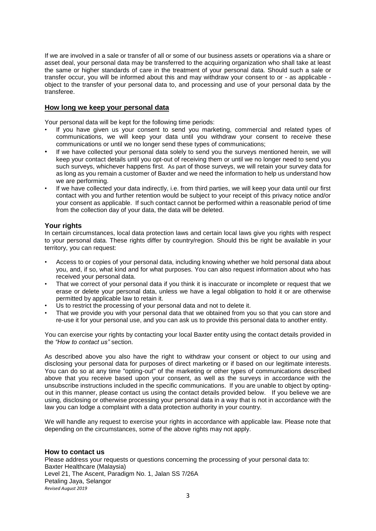If we are involved in a sale or transfer of all or some of our business assets or operations via a share or asset deal, your personal data may be transferred to the acquiring organization who shall take at least the same or higher standards of care in the treatment of your personal data. Should such a sale or transfer occur, you will be informed about this and may withdraw your consent to or - as applicable object to the transfer of your personal data to, and processing and use of your personal data by the transferee.

### **How long we keep your personal data**

Your personal data will be kept for the following time periods:

- If you have given us your consent to send you marketing, commercial and related types of communications, we will keep your data until you withdraw your consent to receive these communications or until we no longer send these types of communications;
- If we have collected your personal data solely to send you the surveys mentioned herein, we will keep your contact details until you opt-out of receiving them or until we no longer need to send you such surveys, whichever happens first. As part of those surveys, we will retain your survey data for as long as you remain a customer of Baxter and we need the information to help us understand how we are performing.
- If we have collected your data indirectly, i.e. from third parties, we will keep your data until our first contact with you and further retention would be subject to your receipt of this privacy notice and/or your consent as applicable. If such contact cannot be performed within a reasonable period of time from the collection day of your data, the data will be deleted.

### **Your rights**

In certain circumstances, local data protection laws and certain local laws give you rights with respect to your personal data. These rights differ by country/region. Should this be right be available in your territory, you can request:

- Access to or copies of your personal data, including knowing whether we hold personal data about you, and, if so, what kind and for what purposes. You can also request information about who has received your personal data.
- That we correct of your personal data if you think it is inaccurate or incomplete or request that we erase or delete your personal data, unless we have a legal obligation to hold it or are otherwise permitted by applicable law to retain it.
- Us to restrict the processing of your personal data and not to delete it.
- That we provide you with your personal data that we obtained from you so that you can store and re-use it for your personal use, and you can ask us to provide this personal data to another entity.

You can exercise your rights by contacting your local Baxter entity using the contact details provided in the *"How to contact us"* section.

As described above you also have the right to withdraw your consent or object to our using and disclosing your personal data for purposes of direct marketing or if based on our legitimate interests. You can do so at any time "opting-out" of the marketing or other types of communications described above that you receive based upon your consent, as well as the surveys in accordance with the unsubscribe instructions included in the specific communications. If you are unable to object by optingout in this manner, please contact us using the contact details provided below. If you believe we are using, disclosing or otherwise processing your personal data in a way that is not in accordance with the law you can lodge a complaint with a data protection authority in your country.

We will handle any request to exercise your rights in accordance with applicable law. Please note that depending on the circumstances, some of the above rights may not apply.

### **How to contact us**

*Revised August 2019* Please address your requests or questions concerning the processing of your personal data to: Baxter Healthcare (Malaysia) Level 21, The Ascent, Paradigm No. 1, Jalan SS 7/26A Petaling Jaya, Selangor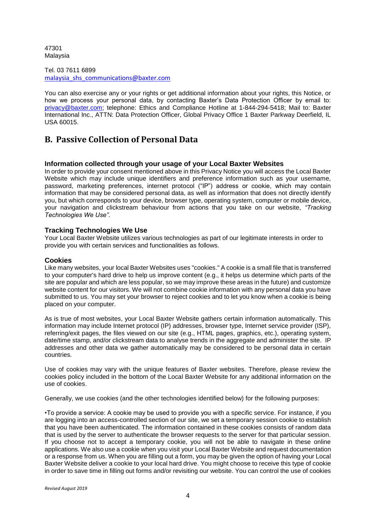47301 Malaysia

Tel. 03 7611 6899 [malaysia\\_shs\\_communications@baxter.com](mailto:malaysia_shs_communications@baxter.com)

You can also exercise any or your rights or get additional information about your rights, this Notice, or how we process your personal data, by contacting Baxter's Data Protection Officer by email to: privacy@baxter.com; telephone: Ethics and Compliance Hotline at 1-844-294-5418; Mail to: Baxter International Inc., ATTN: Data Protection Officer, Global Privacy Office 1 Baxter Parkway Deerfield, IL USA 60015.

### **B. Passive Collection of Personal Data**

### **Information collected through your usage of your Local Baxter Websites**

In order to provide your consent mentioned above in this Privacy Notice you will access the Local Baxter Website which may include unique identifiers and preference information such as your username, password, marketing preferences, internet protocol ("IP") address or cookie, which may contain information that may be considered personal data, as well as information that does not directly identify you, but which corresponds to your device, browser type, operating system, computer or mobile device, your navigation and clickstream behaviour from actions that you take on our website, *"Tracking Technologies We Use"*.

### **Tracking Technologies We Use**

Your Local Baxter Website utilizes various technologies as part of our legitimate interests in order to provide you with certain services and functionalities as follows.

### **Cookies**

Like many websites, your local Baxter Websites uses "cookies." A cookie is a small file that is transferred to your computer's hard drive to help us improve content (e.g., it helps us determine which parts of the site are popular and which are less popular, so we may improve these areas in the future) and customize website content for our visitors. We will not combine cookie information with any personal data you have submitted to us. You may set your browser to reject cookies and to let you know when a cookie is being placed on your computer.

As is true of most websites, your Local Baxter Website gathers certain information automatically. This information may include Internet protocol (IP) addresses, browser type, Internet service provider (ISP), referring/exit pages, the files viewed on our site (e.g., HTML pages, graphics, etc.), operating system, date/time stamp, and/or clickstream data to analyse trends in the aggregate and administer the site. IP addresses and other data we gather automatically may be considered to be personal data in certain countries.

Use of cookies may vary with the unique features of Baxter websites. Therefore, please review the cookies policy included in the bottom of the Local Baxter Website for any additional information on the use of cookies.

Generally, we use cookies (and the other technologies identified below) for the following purposes:

•To provide a service: A cookie may be used to provide you with a specific service. For instance, if you are logging into an access-controlled section of our site, we set a temporary session cookie to establish that you have been authenticated. The information contained in these cookies consists of random data that is used by the server to authenticate the browser requests to the server for that particular session. If you choose not to accept a temporary cookie, you will not be able to navigate in these online applications. We also use a cookie when you visit your Local Baxter Website and request documentation or a response from us. When you are filling out a form, you may be given the option of having your Local Baxter Website deliver a cookie to your local hard drive. You might choose to receive this type of cookie in order to save time in filling out forms and/or revisiting our website. You can control the use of cookies